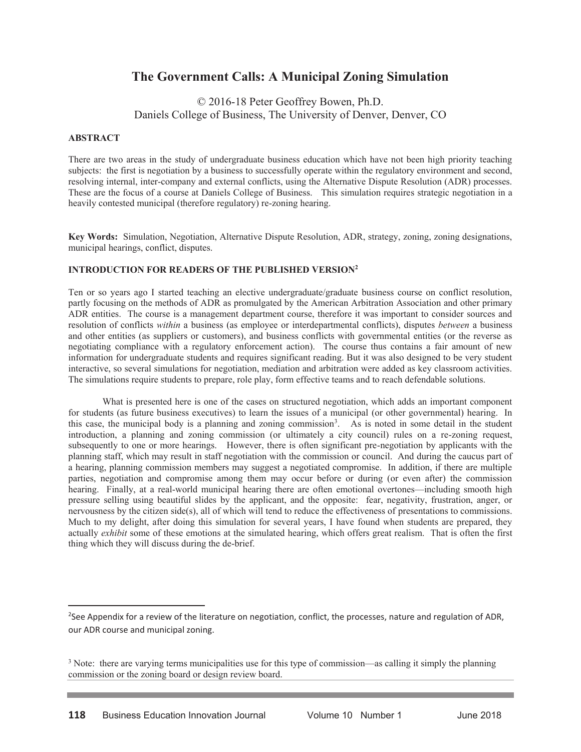# **The Government Calls: A Municipal Zoning Simulation**

© 2016-18 Peter Geoffrey Bowen, Ph.D. Daniels College of Business, The University of Denver, Denver, CO

#### **ABSTRACT**

 $\overline{a}$ 

There are two areas in the study of undergraduate business education which have not been high priority teaching subjects: the first is negotiation by a business to successfully operate within the regulatory environment and second, resolving internal, inter-company and external conflicts, using the Alternative Dispute Resolution (ADR) processes. These are the focus of a course at Daniels College of Business. This simulation requires strategic negotiation in a heavily contested municipal (therefore regulatory) re-zoning hearing.

**Key Words:** Simulation, Negotiation, Alternative Dispute Resolution, ADR, strategy, zoning, zoning designations, municipal hearings, conflict, disputes.

#### **INTRODUCTION FOR READERS OF THE PUBLISHED VERSION2**

Ten or so years ago I started teaching an elective undergraduate/graduate business course on conflict resolution, partly focusing on the methods of ADR as promulgated by the American Arbitration Association and other primary ADR entities. The course is a management department course, therefore it was important to consider sources and resolution of conflicts *within* a business (as employee or interdepartmental conflicts), disputes *between* a business and other entities (as suppliers or customers), and business conflicts with governmental entities (or the reverse as negotiating compliance with a regulatory enforcement action). The course thus contains a fair amount of new information for undergraduate students and requires significant reading. But it was also designed to be very student interactive, so several simulations for negotiation, mediation and arbitration were added as key classroom activities. The simulations require students to prepare, role play, form effective teams and to reach defendable solutions.

What is presented here is one of the cases on structured negotiation, which adds an important component for students (as future business executives) to learn the issues of a municipal (or other governmental) hearing. In this case, the municipal body is a planning and zoning commission<sup>3</sup>. As is noted in some detail in the student introduction, a planning and zoning commission (or ultimately a city council) rules on a re-zoning request, subsequently to one or more hearings. However, there is often significant pre-negotiation by applicants with the planning staff, which may result in staff negotiation with the commission or council. And during the caucus part of a hearing, planning commission members may suggest a negotiated compromise. In addition, if there are multiple parties, negotiation and compromise among them may occur before or during (or even after) the commission hearing. Finally, at a real-world municipal hearing there are often emotional overtones—including smooth high pressure selling using beautiful slides by the applicant, and the opposite: fear, negativity, frustration, anger, or nervousness by the citizen side(s), all of which will tend to reduce the effectiveness of presentations to commissions. Much to my delight, after doing this simulation for several years, I have found when students are prepared, they actually *exhibit* some of these emotions at the simulated hearing, which offers great realism. That is often the first thing which they will discuss during the de-brief.

<sup>&</sup>lt;sup>2</sup>See Appendix for a review of the literature on negotiation, conflict, the processes, nature and regulation of ADR, our ADR course and municipal zoning.

<sup>&</sup>lt;sup>3</sup> Note: there are varying terms municipalities use for this type of commission—as calling it simply the planning commission or the zoning board or design review board.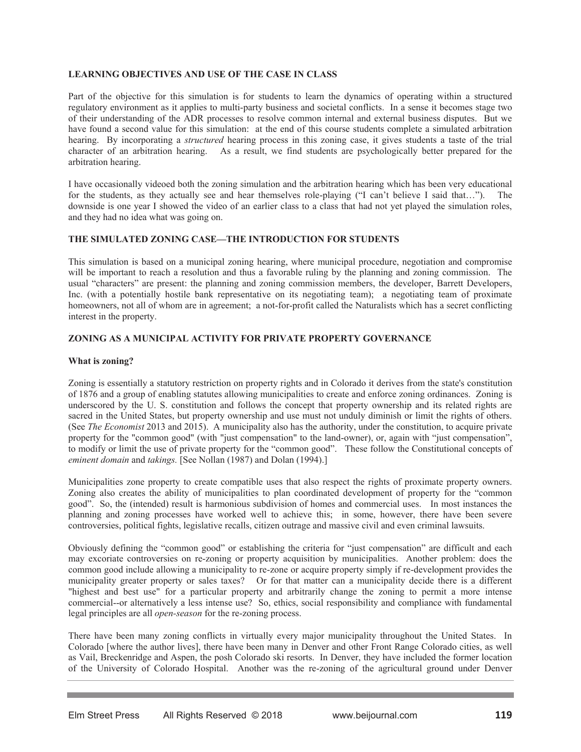# **LEARNING OBJECTIVES AND USE OF THE CASE IN CLASS**

Part of the objective for this simulation is for students to learn the dynamics of operating within a structured regulatory environment as it applies to multi-party business and societal conflicts. In a sense it becomes stage two of their understanding of the ADR processes to resolve common internal and external business disputes. But we have found a second value for this simulation: at the end of this course students complete a simulated arbitration hearing. By incorporating a *structured* hearing process in this zoning case, it gives students a taste of the trial character of an arbitration hearing. As a result, we find students are psychologically better prepared for the arbitration hearing.

I have occasionally videoed both the zoning simulation and the arbitration hearing which has been very educational for the students, as they actually see and hear themselves role-playing ("I can't believe I said that…"). The downside is one year I showed the video of an earlier class to a class that had not yet played the simulation roles, and they had no idea what was going on.

# **THE SIMULATED ZONING CASE—THE INTRODUCTION FOR STUDENTS**

This simulation is based on a municipal zoning hearing, where municipal procedure, negotiation and compromise will be important to reach a resolution and thus a favorable ruling by the planning and zoning commission. The usual "characters" are present: the planning and zoning commission members, the developer, Barrett Developers, Inc. (with a potentially hostile bank representative on its negotiating team); a negotiating team of proximate homeowners, not all of whom are in agreement; a not-for-profit called the Naturalists which has a secret conflicting interest in the property.

## **ZONING AS A MUNICIPAL ACTIVITY FOR PRIVATE PROPERTY GOVERNANCE**

#### **What is zoning?**

Zoning is essentially a statutory restriction on property rights and in Colorado it derives from the state's constitution of 1876 and a group of enabling statutes allowing municipalities to create and enforce zoning ordinances. Zoning is underscored by the U. S. constitution and follows the concept that property ownership and its related rights are sacred in the United States, but property ownership and use must not unduly diminish or limit the rights of others. (See *The Economist* 2013 and 2015). A municipality also has the authority, under the constitution, to acquire private property for the "common good" (with "just compensation" to the land-owner), or, again with "just compensation", to modify or limit the use of private property for the "common good". These follow the Constitutional concepts of *eminent domain* and *takings.* [See Nollan (1987) and Dolan (1994).]

Municipalities zone property to create compatible uses that also respect the rights of proximate property owners. Zoning also creates the ability of municipalities to plan coordinated development of property for the "common good". So, the (intended) result is harmonious subdivision of homes and commercial uses. In most instances the planning and zoning processes have worked well to achieve this; in some, however, there have been severe controversies, political fights, legislative recalls, citizen outrage and massive civil and even criminal lawsuits.

Obviously defining the "common good" or establishing the criteria for "just compensation" are difficult and each may excoriate controversies on re-zoning or property acquisition by municipalities. Another problem: does the common good include allowing a municipality to re-zone or acquire property simply if re-development provides the municipality greater property or sales taxes? Or for that matter can a municipality decide there is a different "highest and best use" for a particular property and arbitrarily change the zoning to permit a more intense commercial--or alternatively a less intense use? So, ethics, social responsibility and compliance with fundamental legal principles are all *open-season* for the re-zoning process.

There have been many zoning conflicts in virtually every major municipality throughout the United States. In Colorado [where the author lives], there have been many in Denver and other Front Range Colorado cities, as well as Vail, Breckenridge and Aspen, the posh Colorado ski resorts. In Denver, they have included the former location of the University of Colorado Hospital. Another was the re-zoning of the agricultural ground under Denver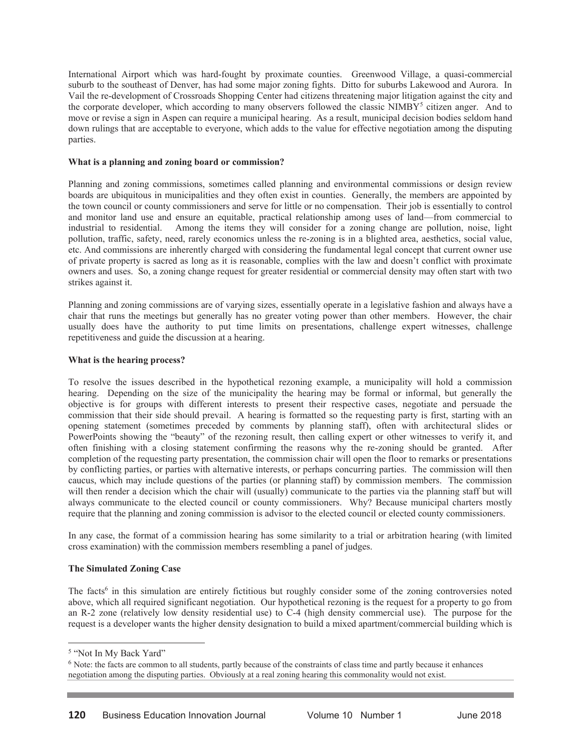International Airport which was hard-fought by proximate counties. Greenwood Village, a quasi-commercial suburb to the southeast of Denver, has had some major zoning fights. Ditto for suburbs Lakewood and Aurora. In Vail the re-development of Crossroads Shopping Center had citizens threatening major litigation against the city and the corporate developer, which according to many observers followed the classic NIMBY<sup>5</sup> citizen anger. And to move or revise a sign in Aspen can require a municipal hearing. As a result, municipal decision bodies seldom hand down rulings that are acceptable to everyone, which adds to the value for effective negotiation among the disputing parties.

#### **What is a planning and zoning board or commission?**

Planning and zoning commissions, sometimes called planning and environmental commissions or design review boards are ubiquitous in municipalities and they often exist in counties. Generally, the members are appointed by the town council or county commissioners and serve for little or no compensation. Their job is essentially to control and monitor land use and ensure an equitable, practical relationship among uses of land—from commercial to industrial to residential. Among the items they will consider for a zoning change are pollution, noise, light pollution, traffic, safety, need, rarely economics unless the re-zoning is in a blighted area, aesthetics, social value, etc. And commissions are inherently charged with considering the fundamental legal concept that current owner use of private property is sacred as long as it is reasonable, complies with the law and doesn't conflict with proximate owners and uses. So, a zoning change request for greater residential or commercial density may often start with two strikes against it.

Planning and zoning commissions are of varying sizes, essentially operate in a legislative fashion and always have a chair that runs the meetings but generally has no greater voting power than other members. However, the chair usually does have the authority to put time limits on presentations, challenge expert witnesses, challenge repetitiveness and guide the discussion at a hearing.

#### **What is the hearing process?**

To resolve the issues described in the hypothetical rezoning example, a municipality will hold a commission hearing. Depending on the size of the municipality the hearing may be formal or informal, but generally the objective is for groups with different interests to present their respective cases, negotiate and persuade the commission that their side should prevail. A hearing is formatted so the requesting party is first, starting with an opening statement (sometimes preceded by comments by planning staff), often with architectural slides or PowerPoints showing the "beauty" of the rezoning result, then calling expert or other witnesses to verify it, and often finishing with a closing statement confirming the reasons why the re-zoning should be granted. After completion of the requesting party presentation, the commission chair will open the floor to remarks or presentations by conflicting parties, or parties with alternative interests, or perhaps concurring parties. The commission will then caucus, which may include questions of the parties (or planning staff) by commission members. The commission will then render a decision which the chair will (usually) communicate to the parties via the planning staff but will always communicate to the elected council or county commissioners. Why? Because municipal charters mostly require that the planning and zoning commission is advisor to the elected council or elected county commissioners.

In any case, the format of a commission hearing has some similarity to a trial or arbitration hearing (with limited cross examination) with the commission members resembling a panel of judges.

## **The Simulated Zoning Case**

The facts<sup>6</sup> in this simulation are entirely fictitious but roughly consider some of the zoning controversies noted above, which all required significant negotiation. Our hypothetical rezoning is the request for a property to go from an R-2 zone (relatively low density residential use) to C-4 (high density commercial use). The purpose for the request is a developer wants the higher density designation to build a mixed apartment/commercial building which is

 $\overline{a}$ 

<sup>5</sup> "Not In My Back Yard"

<sup>6</sup> Note: the facts are common to all students, partly because of the constraints of class time and partly because it enhances negotiation among the disputing parties. Obviously at a real zoning hearing this commonality would not exist.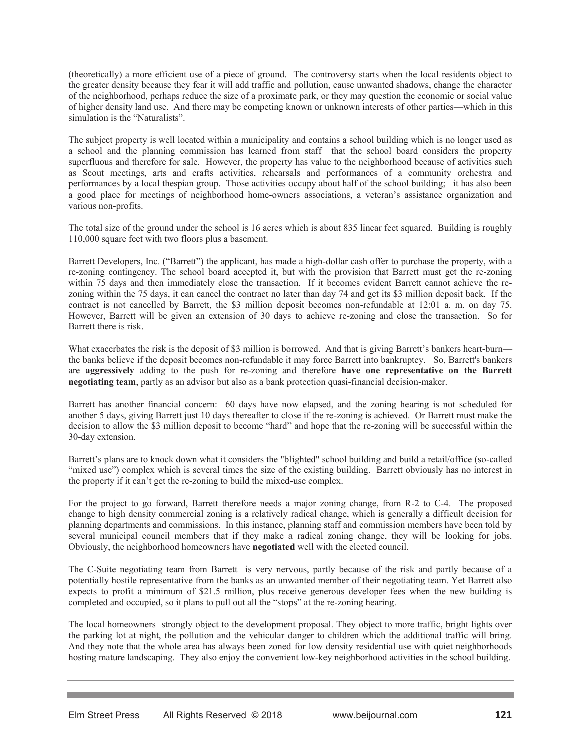(theoretically) a more efficient use of a piece of ground. The controversy starts when the local residents object to the greater density because they fear it will add traffic and pollution, cause unwanted shadows, change the character of the neighborhood, perhaps reduce the size of a proximate park, or they may question the economic or social value of higher density land use. And there may be competing known or unknown interests of other parties—which in this simulation is the "Naturalists".

The subject property is well located within a municipality and contains a school building which is no longer used as a school and the planning commission has learned from staff that the school board considers the property superfluous and therefore for sale. However, the property has value to the neighborhood because of activities such as Scout meetings, arts and crafts activities, rehearsals and performances of a community orchestra and performances by a local thespian group. Those activities occupy about half of the school building; it has also been a good place for meetings of neighborhood home-owners associations, a veteran's assistance organization and various non-profits.

The total size of the ground under the school is 16 acres which is about 835 linear feet squared. Building is roughly 110,000 square feet with two floors plus a basement.

Barrett Developers, Inc. ("Barrett") the applicant, has made a high-dollar cash offer to purchase the property, with a re-zoning contingency. The school board accepted it, but with the provision that Barrett must get the re-zoning within 75 days and then immediately close the transaction. If it becomes evident Barrett cannot achieve the rezoning within the 75 days, it can cancel the contract no later than day 74 and get its \$3 million deposit back. If the contract is not cancelled by Barrett, the \$3 million deposit becomes non-refundable at 12:01 a. m. on day 75. However, Barrett will be given an extension of 30 days to achieve re-zoning and close the transaction. So for Barrett there is risk.

What exacerbates the risk is the deposit of \$3 million is borrowed. And that is giving Barrett's bankers heart-burn the banks believe if the deposit becomes non-refundable it may force Barrett into bankruptcy. So, Barrett's bankers are **aggressively** adding to the push for re-zoning and therefore **have one representative on the Barrett negotiating team**, partly as an advisor but also as a bank protection quasi-financial decision-maker.

Barrett has another financial concern: 60 days have now elapsed, and the zoning hearing is not scheduled for another 5 days, giving Barrett just 10 days thereafter to close if the re-zoning is achieved. Or Barrett must make the decision to allow the \$3 million deposit to become "hard" and hope that the re-zoning will be successful within the 30-day extension.

Barrett's plans are to knock down what it considers the "blighted" school building and build a retail/office (so-called "mixed use") complex which is several times the size of the existing building. Barrett obviously has no interest in the property if it can't get the re-zoning to build the mixed-use complex.

For the project to go forward, Barrett therefore needs a major zoning change, from R-2 to C-4. The proposed change to high density commercial zoning is a relatively radical change, which is generally a difficult decision for planning departments and commissions. In this instance, planning staff and commission members have been told by several municipal council members that if they make a radical zoning change, they will be looking for jobs. Obviously, the neighborhood homeowners have **negotiated** well with the elected council.

The C-Suite negotiating team from Barrett is very nervous, partly because of the risk and partly because of a potentially hostile representative from the banks as an unwanted member of their negotiating team. Yet Barrett also expects to profit a minimum of \$21.5 million, plus receive generous developer fees when the new building is completed and occupied, so it plans to pull out all the "stops" at the re-zoning hearing.

The local homeowners strongly object to the development proposal. They object to more traffic, bright lights over the parking lot at night, the pollution and the vehicular danger to children which the additional traffic will bring. And they note that the whole area has always been zoned for low density residential use with quiet neighborhoods hosting mature landscaping. They also enjoy the convenient low-key neighborhood activities in the school building.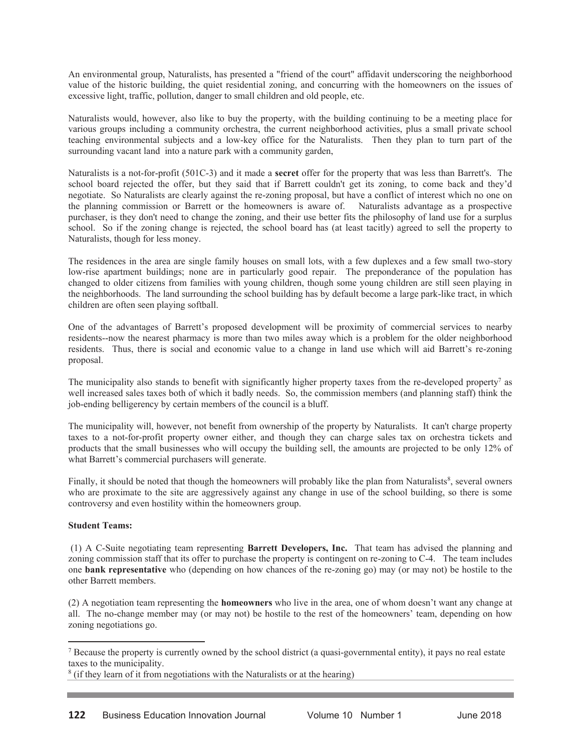An environmental group, Naturalists, has presented a "friend of the court" affidavit underscoring the neighborhood value of the historic building, the quiet residential zoning, and concurring with the homeowners on the issues of excessive light, traffic, pollution, danger to small children and old people, etc.

Naturalists would, however, also like to buy the property, with the building continuing to be a meeting place for various groups including a community orchestra, the current neighborhood activities, plus a small private school teaching environmental subjects and a low-key office for the Naturalists. Then they plan to turn part of the surrounding vacant land into a nature park with a community garden,

Naturalists is a not-for-profit (501C-3) and it made a **secret** offer for the property that was less than Barrett's. The school board rejected the offer, but they said that if Barrett couldn't get its zoning, to come back and they'd negotiate. So Naturalists are clearly against the re-zoning proposal, but have a conflict of interest which no one on the planning commission or Barrett or the homeowners is aware of. Naturalists advantage as a prospective purchaser, is they don't need to change the zoning, and their use better fits the philosophy of land use for a surplus school. So if the zoning change is rejected, the school board has (at least tacitly) agreed to sell the property to Naturalists, though for less money.

The residences in the area are single family houses on small lots, with a few duplexes and a few small two-story low-rise apartment buildings; none are in particularly good repair. The preponderance of the population has changed to older citizens from families with young children, though some young children are still seen playing in the neighborhoods. The land surrounding the school building has by default become a large park-like tract, in which children are often seen playing softball.

One of the advantages of Barrett's proposed development will be proximity of commercial services to nearby residents--now the nearest pharmacy is more than two miles away which is a problem for the older neighborhood residents. Thus, there is social and economic value to a change in land use which will aid Barrett's re-zoning proposal.

The municipality also stands to benefit with significantly higher property taxes from the re-developed property<sup>7</sup> as well increased sales taxes both of which it badly needs. So, the commission members (and planning staff) think the job-ending belligerency by certain members of the council is a bluff.

The municipality will, however, not benefit from ownership of the property by Naturalists. It can't charge property taxes to a not-for-profit property owner either, and though they can charge sales tax on orchestra tickets and products that the small businesses who will occupy the building sell, the amounts are projected to be only 12% of what Barrett's commercial purchasers will generate.

Finally, it should be noted that though the homeowners will probably like the plan from Naturalists<sup>8</sup>, several owners who are proximate to the site are aggressively against any change in use of the school building, so there is some controversy and even hostility within the homeowners group.

# **Student Teams:**

 $\overline{a}$ 

 (1) A C-Suite negotiating team representing **Barrett Developers, Inc.** That team has advised the planning and zoning commission staff that its offer to purchase the property is contingent on re-zoning to C-4. The team includes one **bank representative** who (depending on how chances of the re-zoning go) may (or may not) be hostile to the other Barrett members.

(2) A negotiation team representing the **homeowners** who live in the area, one of whom doesn't want any change at all. The no-change member may (or may not) be hostile to the rest of the homeowners' team, depending on how zoning negotiations go.

<sup>&</sup>lt;sup>7</sup> Because the property is currently owned by the school district (a quasi-governmental entity), it pays no real estate taxes to the municipality.

 $8$  (if they learn of it from negotiations with the Naturalists or at the hearing)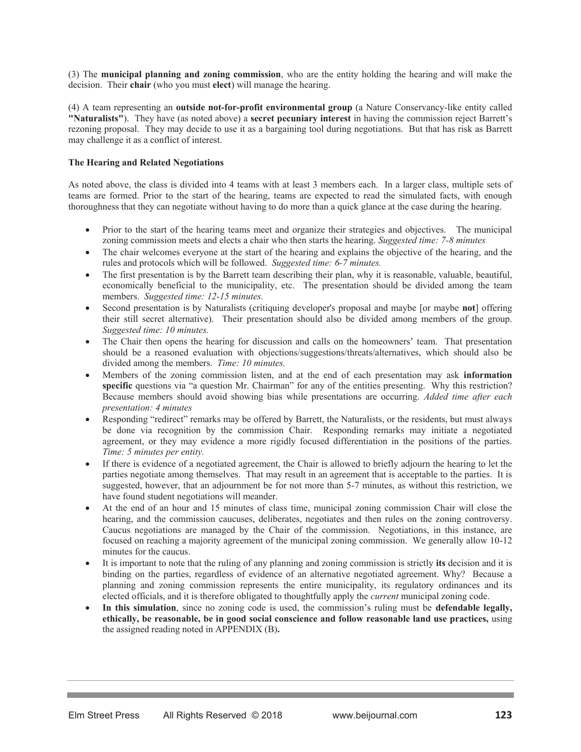(3) The **municipal planning and zoning commission**, who are the entity holding the hearing and will make the decision. Their **chair** (who you must **elect**) will manage the hearing.

(4) A team representing an **outside not-for-profit environmental group** (a Nature Conservancy-like entity called **"Naturalists"**). They have (as noted above) a **secret pecuniary interest** in having the commission reject Barrett's rezoning proposal. They may decide to use it as a bargaining tool during negotiations. But that has risk as Barrett may challenge it as a conflict of interest.

#### **The Hearing and Related Negotiations**

As noted above, the class is divided into 4 teams with at least 3 members each. In a larger class, multiple sets of teams are formed. Prior to the start of the hearing, teams are expected to read the simulated facts, with enough thoroughness that they can negotiate without having to do more than a quick glance at the case during the hearing.

- Prior to the start of the hearing teams meet and organize their strategies and objectives. The municipal zoning commission meets and elects a chair who then starts the hearing. *Suggested time: 7-8 minutes*
- The chair welcomes everyone at the start of the hearing and explains the objective of the hearing, and the rules and protocols which will be followed. *Suggested time: 6-7 minutes.*
- The first presentation is by the Barrett team describing their plan, why it is reasonable, valuable, beautiful, economically beneficial to the municipality, etc. The presentation should be divided among the team members. *Suggested time: 12-15 minutes.*
- Second presentation is by Naturalists (critiquing developer's proposal and maybe [or maybe **not**] offering their still secret alternative). Their presentation should also be divided among members of the group. *Suggested time: 10 minutes.*
- The Chair then opens the hearing for discussion and calls on the homeowners' team. That presentation should be a reasoned evaluation with objections/suggestions/threats/alternatives, which should also be divided among the members. *Time: 10 minutes.*
- x Members of the zoning commission listen, and at the end of each presentation may ask **information specific** questions via "a question Mr. Chairman" for any of the entities presenting. Why this restriction? Because members should avoid showing bias while presentations are occurring. *Added time after each presentation: 4 minutes*
- Responding "redirect" remarks may be offered by Barrett, the Naturalists, or the residents, but must always be done via recognition by the commission Chair. Responding remarks may initiate a negotiated agreement, or they may evidence a more rigidly focused differentiation in the positions of the parties. *Time: 5 minutes per entity.*
- If there is evidence of a negotiated agreement, the Chair is allowed to briefly adjourn the hearing to let the parties negotiate among themselves. That may result in an agreement that is acceptable to the parties. It is suggested, however, that an adjournment be for not more than 5-7 minutes, as without this restriction, we have found student negotiations will meander.
- At the end of an hour and 15 minutes of class time, municipal zoning commission Chair will close the hearing, and the commission caucuses, deliberates, negotiates and then rules on the zoning controversy. Caucus negotiations are managed by the Chair of the commission. Negotiations, in this instance, are focused on reaching a majority agreement of the municipal zoning commission. We generally allow 10-12 minutes for the caucus.
- x It is important to note that the ruling of any planning and zoning commission is strictly **its** decision and it is binding on the parties, regardless of evidence of an alternative negotiated agreement. Why? Because a planning and zoning commission represents the entire municipality, its regulatory ordinances and its elected officials, and it is therefore obligated to thoughtfully apply the *current* municipal zoning code.
- In this simulation, since no zoning code is used, the commission's ruling must be defendable legally, **ethically, be reasonable, be in good social conscience and follow reasonable land use practices,** using the assigned reading noted in APPENDIX (B)**.**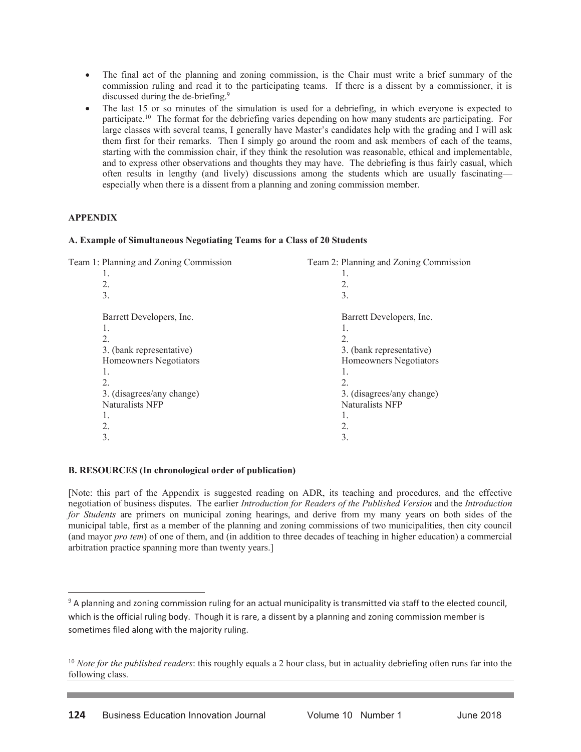- The final act of the planning and zoning commission, is the Chair must write a brief summary of the commission ruling and read it to the participating teams. If there is a dissent by a commissioner, it is discussed during the de-briefing.9
- The last 15 or so minutes of the simulation is used for a debriefing, in which everyone is expected to participate.10 The format for the debriefing varies depending on how many students are participating. For large classes with several teams, I generally have Master's candidates help with the grading and I will ask them first for their remarks. Then I simply go around the room and ask members of each of the teams, starting with the commission chair, if they think the resolution was reasonable, ethical and implementable, and to express other observations and thoughts they may have. The debriefing is thus fairly casual, which often results in lengthy (and lively) discussions among the students which are usually fascinating especially when there is a dissent from a planning and zoning commission member.

# **APPENDIX**

 $\overline{a}$ 

## **A. Example of Simultaneous Negotiating Teams for a Class of 20 Students**

| Team 1: Planning and Zoning Commission | Team 2: Planning and Zoning Commission |
|----------------------------------------|----------------------------------------|
| 1.                                     | 1.                                     |
| 2.                                     | 2.                                     |
| 3.                                     | 3.                                     |
| Barrett Developers, Inc.               | Barrett Developers, Inc.               |
| 1.                                     | 1.                                     |
| 2.                                     | 2.                                     |
| 3. (bank representative)               | 3. (bank representative)               |
| Homeowners Negotiators                 | Homeowners Negotiators                 |
| 1.                                     |                                        |
| 2.                                     | 2.                                     |
| 3. (disagrees/any change)              | 3. (disagrees/any change)              |
| Naturalists NFP                        | Naturalists NFP                        |
| 1.                                     | 1.                                     |
| 2.                                     | 2.                                     |
| 3.                                     | 3.                                     |
|                                        |                                        |

## **B. RESOURCES (In chronological order of publication)**

[Note: this part of the Appendix is suggested reading on ADR, its teaching and procedures, and the effective negotiation of business disputes. The earlier *Introduction for Readers of the Published Version* and the *Introduction for Students* are primers on municipal zoning hearings, and derive from my many years on both sides of the municipal table, first as a member of the planning and zoning commissions of two municipalities, then city council (and mayor *pro tem*) of one of them, and (in addition to three decades of teaching in higher education) a commercial arbitration practice spanning more than twenty years.]

<sup>&</sup>lt;sup>9</sup> A planning and zoning commission ruling for an actual municipality is transmitted via staff to the elected council, which is the official ruling body. Though it is rare, a dissent by a planning and zoning commission member is sometimes filed along with the majority ruling.

<sup>&</sup>lt;sup>10</sup> *Note for the published readers*: this roughly equals a 2 hour class, but in actuality debriefing often runs far into the following class.